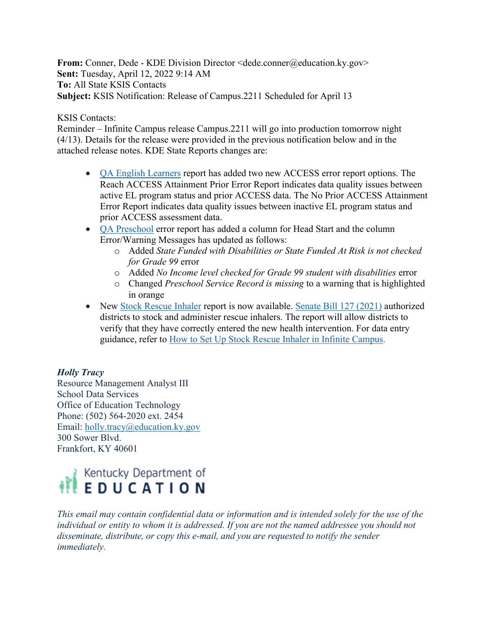**From:** Conner, Dede - KDE Division Director <dede.conner@education.ky.gov> **Sent:** Tuesday, April 12, 2022 9:14 AM **To:** All State KSIS Contacts **Subject:** KSIS Notification: Release of Campus.2211 Scheduled for April 13

## KSIS Contacts:

Reminder – Infinite Campus release Campus.2211 will go into production tomorrow night (4/13). Details for the release were provided in the previous notification below and in the attached release notes. KDE State Reports changes are:

- [QA English Learners](https://education.ky.gov/districts/tech/sis/Documents/IC_CustomRpt_QA_English_Learners.pdf) report has added two new ACCESS error report options. The Reach ACCESS Attainment Prior Error Report indicates data quality issues between active EL program status and prior ACCESS data. The No Prior ACCESS Attainment Error Report indicates data quality issues between inactive EL program status and prior ACCESS assessment data.
- [QA Preschool](https://education.ky.gov/districts/tech/sis/Documents/IC_CustomRpt_QA_Preschool.pdf) error report has added a column for Head Start and the column Error/Warning Messages has updated as follows:
	- o Added *State Funded with Disabilities or State Funded At Risk is not checked for Grade 99* error
	- o Added *No Income level checked for Grade 99 student with disabilities* error
	- o Changed *Preschool Service Record is missing* to a warning that is highlighted in orange
- New [Stock Rescue Inhaler](https://education.ky.gov/districts/tech/sis/Documents/IC_CustomRpt_Stock_Rescue_Inhaler.pdf) report is now available. [Senate Bill 127 \(2021\)](https://apps.legislature.ky.gov/record/21rs/sb127.html) authorized districts to stock and administer rescue inhalers. The report will allow districts to verify that they have correctly entered the new health intervention. For data entry guidance, refer to [How to Set Up Stock Rescue Inhaler in Infinite Campus.](https://education.ky.gov/districts/enrol/Documents/SetUpStockRescueInhaler.pdf)

## *Holly Tracy*

Resource Management Analyst III School Data Services Office of Education Technology Phone: (502) 564-2020 ext. 2454 Email: [holly.tracy@education.ky.gov](mailto:holly.tracy@education.ky.gov) 300 Sower Blvd. Frankfort, KY 40601



*This email may contain confidential data or information and is intended solely for the use of the individual or entity to whom it is addressed. If you are not the named addressee you should not disseminate, distribute, or copy this e-mail, and you are requested to notify the sender immediately.*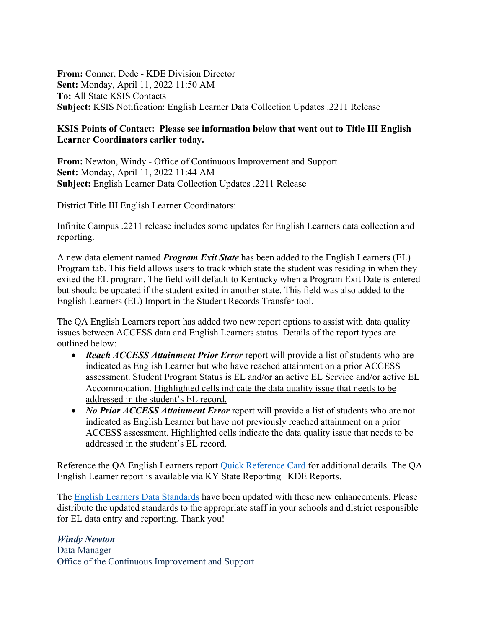**From:** Conner, Dede - KDE Division Director **Sent:** Monday, April 11, 2022 11:50 AM **To:** All State KSIS Contacts **Subject:** KSIS Notification: English Learner Data Collection Updates .2211 Release

## **KSIS Points of Contact: Please see information below that went out to Title III English Learner Coordinators earlier today.**

**From:** Newton, Windy - Office of Continuous Improvement and Support **Sent:** Monday, April 11, 2022 11:44 AM **Subject:** English Learner Data Collection Updates .2211 Release

District Title III English Learner Coordinators:

Infinite Campus .2211 release includes some updates for English Learners data collection and reporting.

A new data element named *Program Exit State* has been added to the English Learners (EL) Program tab. This field allows users to track which state the student was residing in when they exited the EL program. The field will default to Kentucky when a Program Exit Date is entered but should be updated if the student exited in another state. This field was also added to the English Learners (EL) Import in the Student Records Transfer tool.

The QA English Learners report has added two new report options to assist with data quality issues between ACCESS data and English Learners status. Details of the report types are outlined below:

- *Reach ACCESS Attainment Prior Error* report will provide a list of students who are indicated as English Learner but who have reached attainment on a prior ACCESS assessment. Student Program Status is EL and/or an active EL Service and/or active EL Accommodation. Highlighted cells indicate the data quality issue that needs to be addressed in the student's EL record.
- *No Prior ACCESS Attainment Error* report will provide a list of students who are not indicated as English Learner but have not previously reached attainment on a prior ACCESS assessment. Highlighted cells indicate the data quality issue that needs to be addressed in the student's EL record.

Reference the QA English Learners report [Quick Reference Card](https://education.ky.gov/districts/tech/sis/Documents/IC_CustomRpt_QA_English_Learners.pdf) for additional details. The QA English Learner report is available via KY State Reporting | KDE Reports.

The [English Learners Data Standards](https://education.ky.gov/districts/tech/sis/Documents/Standard-LEP.pdf) have been updated with these new enhancements. Please distribute the updated standards to the appropriate staff in your schools and district responsible for EL data entry and reporting. Thank you!

## *Windy Newton*

Data Manager Office of the Continuous Improvement and Support